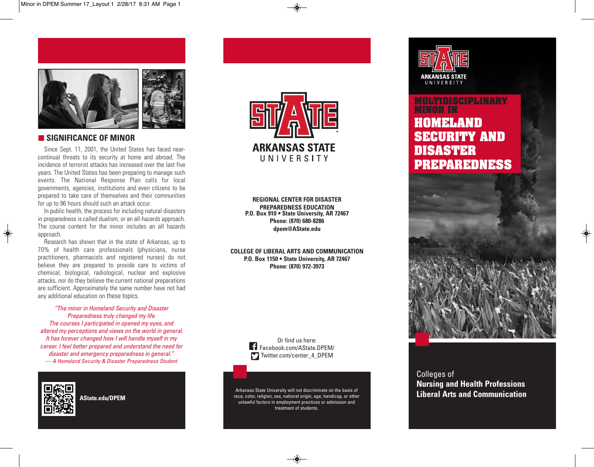

### **SIGNIFICANCE OF MINOR**

Since Sept. 11, 2001, the United States has faced nearcontinual threats to its security at home and abroad. The incidence of terrorist attacks has increased over the last five years. The United States has been preparing to manage such events. The National Response Plan calls for local governments, agencies, institutions and even citizens to be prepared to take care of themselves and their communities for up to 96 hours should such an attack occur.

In public health, the process for including natural disasters in preparedness is called dualism, or an all-hazards approach. The course content for the minor includes an all hazards approach.

Research has shown that in the state of Arkansas, up to 70% of health care professionals (physicians, nurse practitioners, pharmacists and registered nurses) do not believe they are prepared to provide care to victims of chemical, biological, radiological, nuclear and explosive attacks, nor do they believe the current national preparations are sufficient. Approximately the same number have not had any additional education on these topics.

*"The minor in Homeland Security and Disaster Preparedness truly changed my life. The courses I participated in opened my eyes, and altered my perceptions and views on the world in general. It has forever changed how I will handle myself in my career. I feel better prepared and understand the need for disaster and emergency preparedness in general." — A Homeland Security & Disaster Preparedness Student*



◈

**AState.edu/DPEM**



**REGIONAL CENTER FOR DISASTER PREPAREDNESS EDUCATION P.O. Box 910 • State University, AR 72467 Phone: (870) 680-8286 dpem@AState.edu**

**COLLEGE OF LIBERAL ARTS AND COMMUNICATION P.O. Box 1150 • State University, AR 72467 Phone: (870) 972-3973**

> Or find us here: Facebook.com/AState.DPEM/ Twitter.com/center\_4\_DPEM

Arkansas State University will not discriminate on the basis of race, color, religion, sex, national origin, age, handicap, or other unlawful factors in employment practices or admission and treatment of students.



# **MULTIDISCIPLINARY MINOR IN HOMELAND SECURITY AND DISASTER PREPAREDNESS**



Colleges of **Nursing and Health Professions Liberal Arts and Communication**